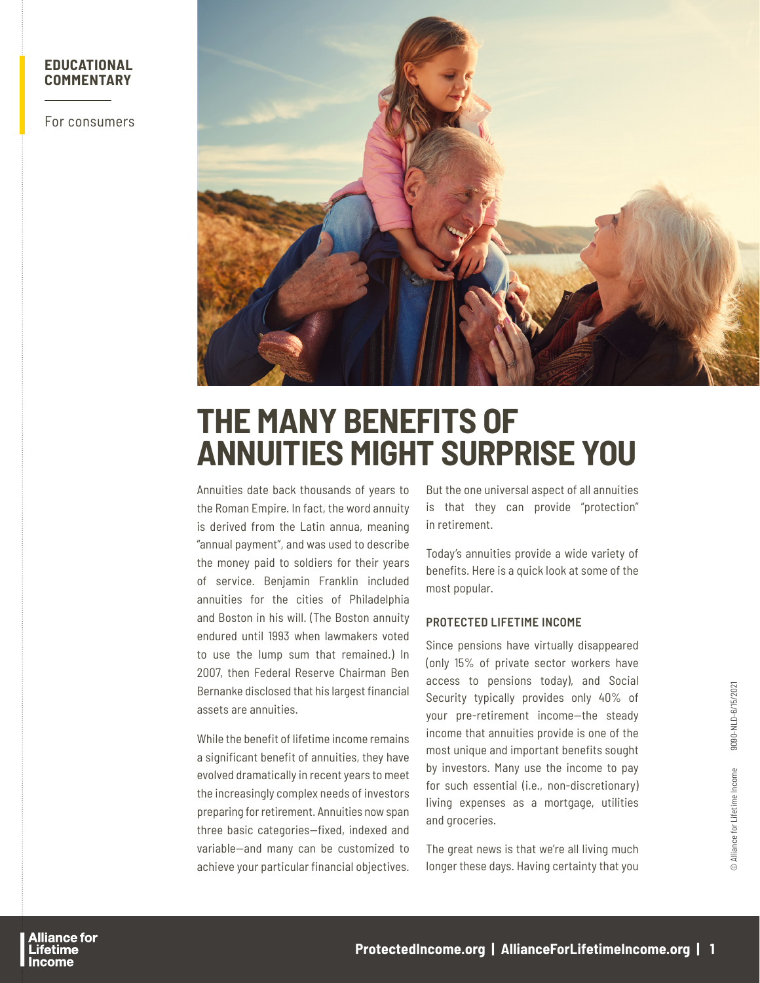# **EDUCATIONAL COMMENTARY**

For consumers



# **THE MANY BENEFITS OF ANNUITIES MIGHT SURPRISE YOU**

Annuities date back thousands of years to the Roman Empire. In fact, the word annuity is derived from the Latin annua, meaning "annual payment", and was used to describe the money paid to soldiers for their years of service. Benjamin Franklin included annuities for the cities of Philadelphia and Boston in his will. (The Boston annuity endured until 1993 when lawmakers voted to use the lump sum that remained.) In 2007, then Federal Reserve Chairman Ben Bernanke disclosed that his largest financial assets are annuities.

While the benefit of lifetime income remains a significant benefit of annuities, they have evolved dramatically in recent years to meet the increasingly complex needs of investors preparing for retirement. Annuities now span three basic categories—fixed, indexed and variable—and many can be customized to achieve your particular financial objectives.

But the one universal aspect of all annuities is that they can provide "protection" in retirement.

Today's annuities provide a wide variety of benefits. Here is a quick look at some of the most popular.

## **PROTECTED LIFETIME INCOME**

Since pensions have virtually disappeared (only 15% of private sector workers have access to pensions today), and Social Security typically provides only 40% of your pre-retirement income—the steady income that annuities provide is one of the most unique and important benefits sought by investors. Many use the income to pay for such essential (i.e., non-discretionary) living expenses as a mortgage, utilities and groceries.

The great news is that we're all living much longer these days. Having certainty that you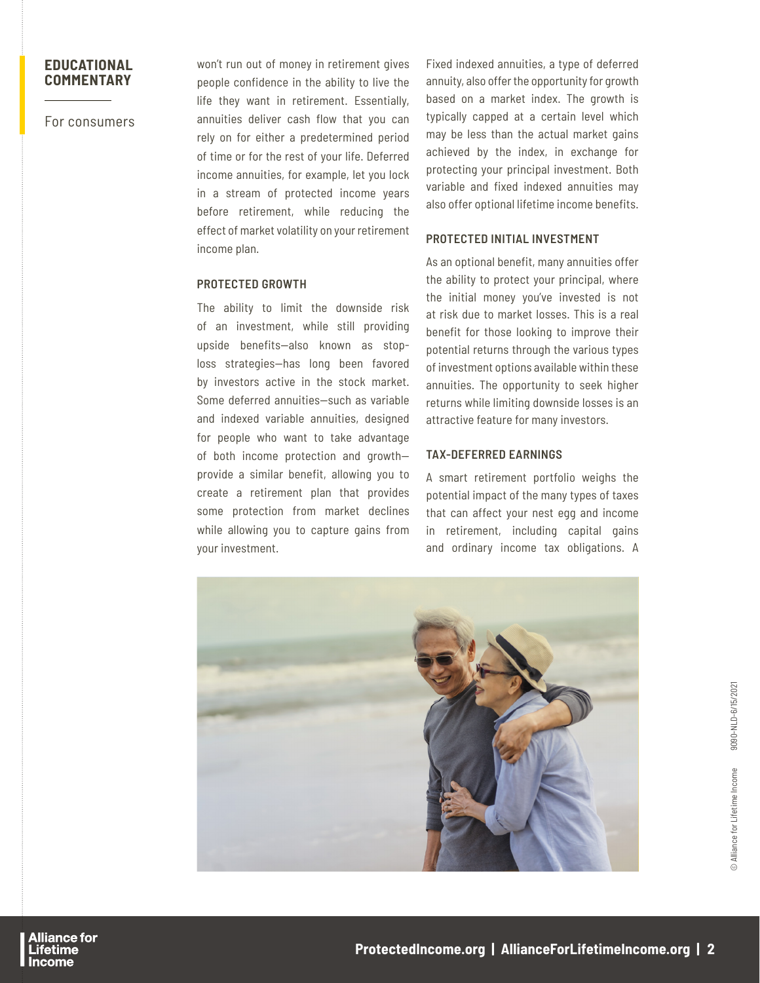# **EDUCATIONAL COMMENTARY**

For consumers

won't run out of money in retirement gives people confidence in the ability to live the life they want in retirement. Essentially, annuities deliver cash flow that you can rely on for either a predetermined period of time or for the rest of your life. Deferred income annuities, for example, let you lock in a stream of protected income years before retirement, while reducing the effect of market volatility on your retirement income plan.

### **PROTECTED GROWTH**

The ability to limit the downside risk of an investment, while still providing upside benefits—also known as stoploss strategies—has long been favored by investors active in the stock market. Some deferred annuities—such as variable and indexed variable annuities, designed for people who want to take advantage of both income protection and growth provide a similar benefit, allowing you to create a retirement plan that provides some protection from market declines while allowing you to capture gains from your investment.

Fixed indexed annuities, a type of deferred annuity, also offer the opportunity for growth based on a market index. The growth is typically capped at a certain level which may be less than the actual market gains achieved by the index, in exchange for protecting your principal investment. Both variable and fixed indexed annuities may also offer optional lifetime income benefits.

# **PROTECTED INITIAL INVESTMENT**

As an optional benefit, many annuities offer the ability to protect your principal, where the initial money you've invested is not at risk due to market losses. This is a real benefit for those looking to improve their potential returns through the various types of investment options available within these annuities. The opportunity to seek higher returns while limiting downside losses is an attractive feature for many investors.

## **TAX-DEFERRED EARNINGS**

A smart retirement portfolio weighs the potential impact of the many types of taxes that can affect your nest egg and income in retirement, including capital gains and ordinary income tax obligations. A